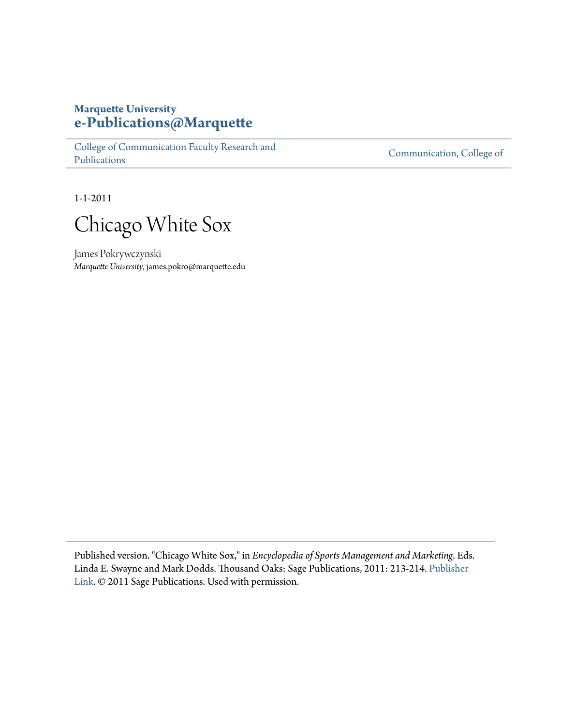### **Marquette University [e-Publications@Marquette](https://epublications.marquette.edu)**

[College of Communication Faculty Research and](https://epublications.marquette.edu/comm_fac) [Publications](https://epublications.marquette.edu/comm_fac)

[Communication, College of](https://epublications.marquette.edu/communication)

1-1-2011



James Pokrywczynski *Marquette University*, james.pokro@marquette.edu

Published version. "Chicago White Sox," in *Encyclopedia of Sports Management and Marketing*. Eds. Linda E. Swayne and Mark Dodds. Thousand Oaks: Sage Publications, 2011: 213-214. [Publisher](https://us.sagepub.com/en-us/nam/encyclopedia-of-sports-management-and-marketing/book230738) [Link.](https://us.sagepub.com/en-us/nam/encyclopedia-of-sports-management-and-marketing/book230738) © 2011 Sage Publications. Used with permission.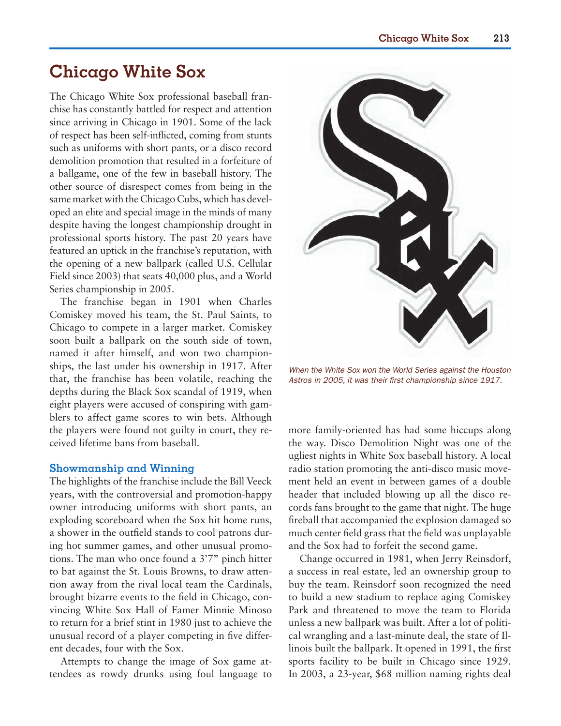# **Chicago White Sox**

The Chicago White Sox professional baseball franchise has constantly battled for respect and attention since arriving in Chicago in 1901. Some of the lack of respect has been self-inflicted, coming from stunts such as uniforms with short pants, or a disco record demolition promotion that resulted in a forfeiture of a ballgame, one of the few in baseball history. The other source of disrespect comes from being in the same market with the Chicago Cubs, which has developed an elite and special image in the minds of many despite having the longest championship drought in professional sports history. The past 20 years have featured an uptick in the franchise's reputation, with the opening of a new ballpark (called U.S. Cellular Field since 2003) that seats 40,000 plus, and a World Series championship in 2005.

The franchise began in 1901 when Charles Comiskey moved his team, the St. Paul Saints, to Chicago to compete in a larger market. Comiskey soon built a ballpark on the south side of town, named it after himself, and won two championships, the last under his ownership in 1917. After that, the franchise has been volatile, reaching the depths during the Black Sox scandal of 1919, when eight players were accused of conspiring with gamblers to affect game scores to win bets. Although the players were found not guilty in court, they received lifetime bans from baseball.

### **Showmanship and Winning**

The highlights of the franchise include the Bill Veeck years, with the controversial and promotion-happy owner introducing uniforms with short pants, an exploding scoreboard when the Sox hit home runs, a shower in the outfield stands to cool patrons during hot summer games, and other unusual promotions. The man who once found a 3'7" pinch hitter to bat against the St. Louis Browns, to draw attention away from the rival local team the Cardinals, brought bizarre events to the field in Chicago, convincing White Sox Hall of Famer Minnie Minoso to return for a brief stint in 1980 just to achieve the unusual record of a player competing in five different decades, four with the Sox.

Attempts to change the image of Sox game attendees as rowdy drunks using foul language to



*When the White Sox won the World Series against the Houston Astros in 2005, it was their first championship since 1917.*

more family-oriented has had some hiccups along the way. Disco Demolition Night was one of the ugliest nights in White Sox baseball history. A local radio station promoting the anti-disco music movement held an event in between games of a double header that included blowing up all the disco records fans brought to the game that night. The huge fireball that accompanied the explosion damaged so much center field grass that the field was unplayable and the Sox had to forfeit the second game.

Change occurred in 1981, when Jerry Reinsdorf, a success in real estate, led an ownership group to buy the team. Reinsdorf soon recognized the need to build a new stadium to replace aging Comiskey Park and threatened to move the team to Florida unless a new ballpark was built. After a lot of political wrangling and a last-minute deal, the state of Illinois built the ballpark. It opened in 1991, the first sports facility to be built in Chicago since 1929. In 2003, a 23-year, \$68 million naming rights deal